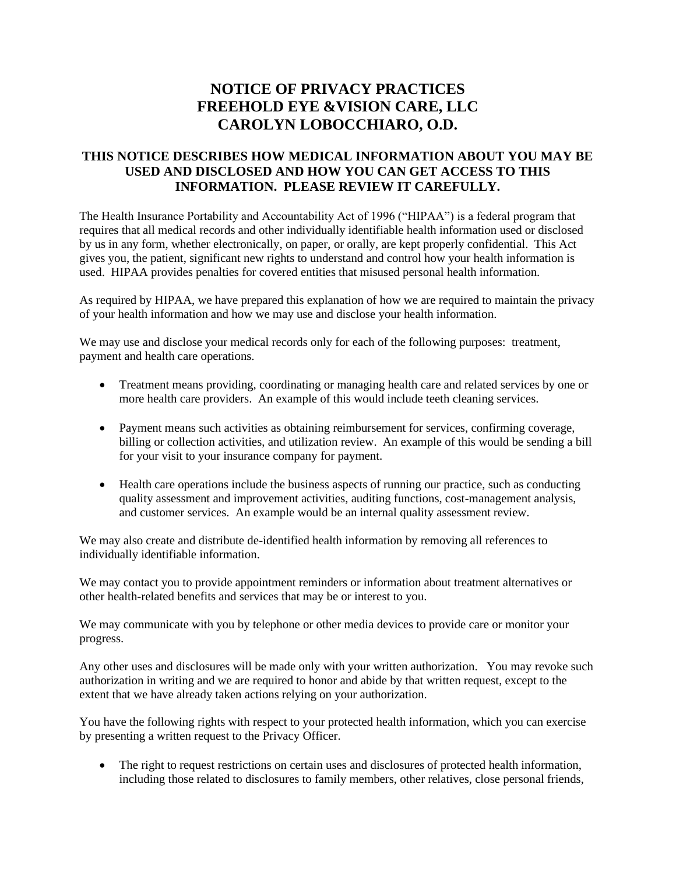## **NOTICE OF PRIVACY PRACTICES FREEHOLD EYE &VISION CARE, LLC CAROLYN LOBOCCHIARO, O.D.**

## **THIS NOTICE DESCRIBES HOW MEDICAL INFORMATION ABOUT YOU MAY BE USED AND DISCLOSED AND HOW YOU CAN GET ACCESS TO THIS INFORMATION. PLEASE REVIEW IT CAREFULLY.**

The Health Insurance Portability and Accountability Act of 1996 ("HIPAA") is a federal program that requires that all medical records and other individually identifiable health information used or disclosed by us in any form, whether electronically, on paper, or orally, are kept properly confidential. This Act gives you, the patient, significant new rights to understand and control how your health information is used. HIPAA provides penalties for covered entities that misused personal health information.

As required by HIPAA, we have prepared this explanation of how we are required to maintain the privacy of your health information and how we may use and disclose your health information.

We may use and disclose your medical records only for each of the following purposes: treatment, payment and health care operations.

- Treatment means providing, coordinating or managing health care and related services by one or more health care providers. An example of this would include teeth cleaning services.
- Payment means such activities as obtaining reimbursement for services, confirming coverage, billing or collection activities, and utilization review. An example of this would be sending a bill for your visit to your insurance company for payment.
- Health care operations include the business aspects of running our practice, such as conducting quality assessment and improvement activities, auditing functions, cost-management analysis, and customer services. An example would be an internal quality assessment review.

We may also create and distribute de-identified health information by removing all references to individually identifiable information.

We may contact you to provide appointment reminders or information about treatment alternatives or other health-related benefits and services that may be or interest to you.

We may communicate with you by telephone or other media devices to provide care or monitor your progress.

Any other uses and disclosures will be made only with your written authorization. You may revoke such authorization in writing and we are required to honor and abide by that written request, except to the extent that we have already taken actions relying on your authorization.

You have the following rights with respect to your protected health information, which you can exercise by presenting a written request to the Privacy Officer.

The right to request restrictions on certain uses and disclosures of protected health information, including those related to disclosures to family members, other relatives, close personal friends,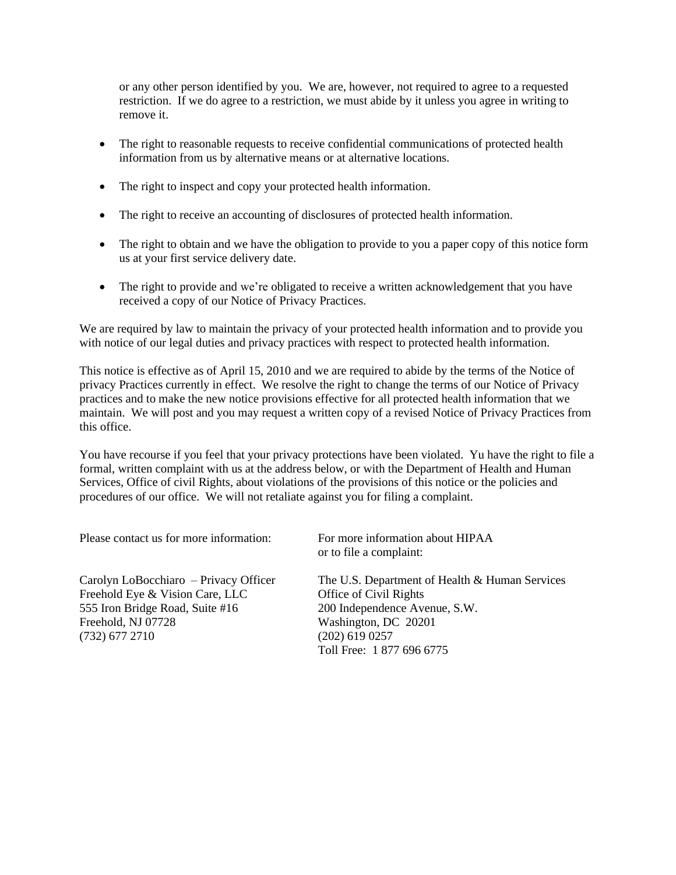or any other person identified by you. We are, however, not required to agree to a requested restriction. If we do agree to a restriction, we must abide by it unless you agree in writing to remove it.

- The right to reasonable requests to receive confidential communications of protected health information from us by alternative means or at alternative locations.
- The right to inspect and copy your protected health information.
- The right to receive an accounting of disclosures of protected health information.
- The right to obtain and we have the obligation to provide to you a paper copy of this notice form us at your first service delivery date.
- The right to provide and we're obligated to receive a written acknowledgement that you have received a copy of our Notice of Privacy Practices.

We are required by law to maintain the privacy of your protected health information and to provide you with notice of our legal duties and privacy practices with respect to protected health information.

This notice is effective as of April 15, 2010 and we are required to abide by the terms of the Notice of privacy Practices currently in effect. We resolve the right to change the terms of our Notice of Privacy practices and to make the new notice provisions effective for all protected health information that we maintain. We will post and you may request a written copy of a revised Notice of Privacy Practices from this office.

You have recourse if you feel that your privacy protections have been violated. Yu have the right to file a formal, written complaint with us at the address below, or with the Department of Health and Human Services, Office of civil Rights, about violations of the provisions of this notice or the policies and procedures of our office. We will not retaliate against you for filing a complaint.

Please contact us for more information: For more information about HIPAA

Freehold Eye & Vision Care, LLC<br>
555 Iron Bridge Road, Suite #16<br>
200 Independence Avenue, S.W. 555 Iron Bridge Road, Suite  $#16$ Freehold, NJ 07728 Washington, DC 20201 (732) 677 2710 (202) 619 0257

or to file a complaint:

Carolyn LoBocchiaro – Privacy Officer The U.S. Department of Health & Human Services Toll Free: 1 877 696 6775